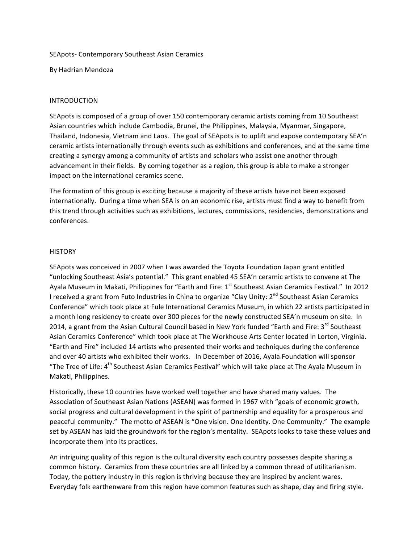#### SEApots- Contemporary Southeast Asian Ceramics

By Hadrian Mendoza

### INTRODUCTION

SEApots is composed of a group of over 150 contemporary ceramic artists coming from 10 Southeast Asian countries which include Cambodia, Brunei, the Philippines, Malaysia, Myanmar, Singapore, Thailand, Indonesia, Vietnam and Laos. The goal of SEApots is to uplift and expose contemporary SEA'n ceramic artists internationally through events such as exhibitions and conferences, and at the same time creating a synergy among a community of artists and scholars who assist one another through advancement in their fields. By coming together as a region, this group is able to make a stronger impact on the international ceramics scene.

The formation of this group is exciting because a majority of these artists have not been exposed internationally. During a time when SEA is on an economic rise, artists must find a way to benefit from this trend through activities such as exhibitions, lectures, commissions, residencies, demonstrations and conferences.

#### **HISTORY**

SEApots was conceived in 2007 when I was awarded the Toyota Foundation Japan grant entitled "unlocking Southeast Asia's potential." This grant enabled 45 SEA'n ceramic artists to convene at The Ayala Museum in Makati, Philippines for "Earth and Fire: 1<sup>st</sup> Southeast Asian Ceramics Festival." In 2012 I received a grant from Futo Industries in China to organize "Clay Unity: 2<sup>nd</sup> Southeast Asian Ceramics Conference" which took place at Fule International Ceramics Museum, in which 22 artists participated in a month long residency to create over 300 pieces for the newly constructed SEA'n museum on site. In 2014, a grant from the Asian Cultural Council based in New York funded "Earth and Fire: 3<sup>rd</sup> Southeast Asian Ceramics Conference" which took place at The Workhouse Arts Center located in Lorton, Virginia. "Earth and Fire" included 14 artists who presented their works and techniques during the conference and over 40 artists who exhibited their works. In December of 2016, Ayala Foundation will sponsor "The Tree of Life:  $4<sup>th</sup>$  Southeast Asian Ceramics Festival" which will take place at The Ayala Museum in Makati, Philippines.

Historically, these 10 countries have worked well together and have shared many values. The Association of Southeast Asian Nations (ASEAN) was formed in 1967 with "goals of economic growth, social progress and cultural development in the spirit of partnership and equality for a prosperous and peaceful community." The motto of ASEAN is "One vision. One Identity. One Community." The example set by ASEAN has laid the groundwork for the region's mentality. SEApots looks to take these values and incorporate them into its practices.

An intriguing quality of this region is the cultural diversity each country possesses despite sharing a common history. Ceramics from these countries are all linked by a common thread of utilitarianism. Today, the pottery industry in this region is thriving because they are inspired by ancient wares. Everyday folk earthenware from this region have common features such as shape, clay and firing style.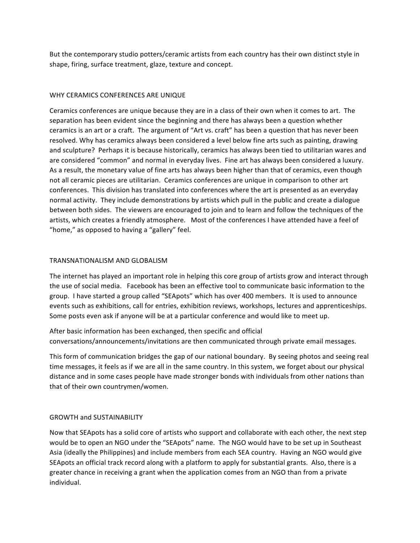But the contemporary studio potters/ceramic artists from each country has their own distinct style in shape, firing, surface treatment, glaze, texture and concept.

# WHY CERAMICS CONFERENCES ARE UNIQUE

Ceramics conferences are unique because they are in a class of their own when it comes to art. The separation has been evident since the beginning and there has always been a question whether ceramics is an art or a craft. The argument of "Art vs. craft" has been a question that has never been resolved. Why has ceramics always been considered a level below fine arts such as painting, drawing and sculpture? Perhaps it is because historically, ceramics has always been tied to utilitarian wares and are considered "common" and normal in everyday lives. Fine art has always been considered a luxury. As a result, the monetary value of fine arts has always been higher than that of ceramics, even though not all ceramic pieces are utilitarian. Ceramics conferences are unique in comparison to other art conferences. This division has translated into conferences where the art is presented as an everyday normal activity. They include demonstrations by artists which pull in the public and create a dialogue between both sides. The viewers are encouraged to join and to learn and follow the techniques of the artists, which creates a friendly atmosphere. Most of the conferences I have attended have a feel of "home," as opposed to having a "gallery" feel.

# TRANSNATIONALISM AND GLOBALISM

The internet has played an important role in helping this core group of artists grow and interact through the use of social media. Facebook has been an effective tool to communicate basic information to the group. I have started a group called "SEApots" which has over 400 members. It is used to announce events such as exhibitions, call for entries, exhibition reviews, workshops, lectures and apprenticeships. Some posts even ask if anyone will be at a particular conference and would like to meet up.

After basic information has been exchanged, then specific and official conversations/announcements/invitations are then communicated through private email messages.

This form of communication bridges the gap of our national boundary. By seeing photos and seeing real time messages, it feels as if we are all in the same country. In this system, we forget about our physical distance and in some cases people have made stronger bonds with individuals from other nations than that of their own countrymen/women.

# **GROWTH and SUSTAINABILITY**

Now that SEApots has a solid core of artists who support and collaborate with each other, the next step would be to open an NGO under the "SEApots" name. The NGO would have to be set up in Southeast Asia (ideally the Philippines) and include members from each SEA country. Having an NGO would give SEApots an official track record along with a platform to apply for substantial grants. Also, there is a greater chance in receiving a grant when the application comes from an NGO than from a private individual.